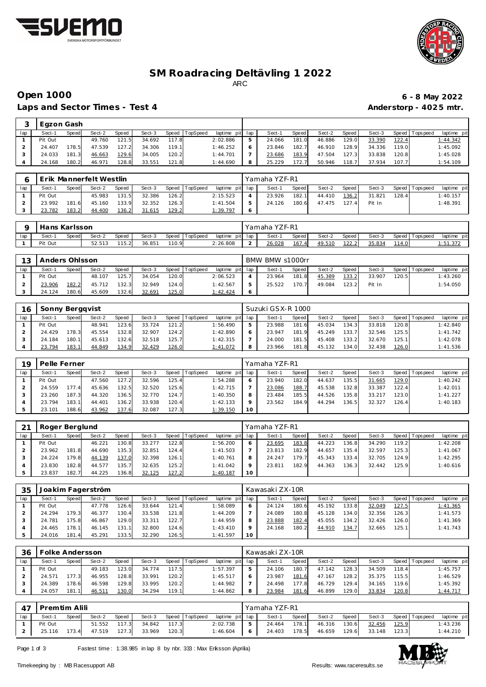



# **SM Roadracing Deltävling 1 2022** ARC

# **Open 1000 6 - 8 May 2022**

Laps and Sector Times - Test 4 **Anderstorp - 4025 mtr.** 

|     | Egzon Gash |       |        |       |        |       |                |                 |        |       |        |       |        |               |                 |             |
|-----|------------|-------|--------|-------|--------|-------|----------------|-----------------|--------|-------|--------|-------|--------|---------------|-----------------|-------------|
| lap | Sect-1     | Speed | Sect-2 | Speed | Sect-3 |       | Speed TopSpeed | laptime pit lap | Sect-1 | Speed | Sect-2 | Speed | Sect-3 |               | Speed Tops peed | laptime pit |
|     | Pit Out    |       | 49.760 | 121.5 | 34.692 | 117.8 |                | 2:02.886        | 24.066 | 181.0 | 46.886 | 129.0 | 33.390 | <u> 122.4</u> |                 | 1:44.342    |
|     | 24.407     | '78.5 | 47.539 | 127.2 | 34.306 | 119.1 |                | 1:46.252        | 23.846 | 182.7 | 46.910 | 128.9 | 34.336 | 119.0         |                 | 1:45.092    |
|     | 24.033     | 181.3 | 46.663 | 129.6 | 34.005 | 120.2 |                | 1:44.701        | 23.686 | 183.9 | 47.504 | 127.3 | 33.838 | 120.8         |                 | 1:45.028    |
|     | 24.168     | 180.2 | 46.971 | 128.8 | 33.551 | 121.8 |                | 1:44.690        | 25.229 | 172.7 | 50.946 | 118.7 | 37.934 | 107.7         |                 | 1:54.109    |

T

|     |         |       | Erik Mannerfelt Westlin |       |        |               |                |                 | Yamaha YZF-R1 |       |        |         |        |        |                 |             |
|-----|---------|-------|-------------------------|-------|--------|---------------|----------------|-----------------|---------------|-------|--------|---------|--------|--------|-----------------|-------------|
| lap | Sect-1  | Speed | Sect-2                  | Speed | Sect-3 |               | Speed TopSpeed | laptime pit lap | Sect-1        | Speed | Sect-2 | Speed I | Sect-3 |        | Speed Tops peed | laptime pit |
|     | Pit Out |       | 45.983                  | 131.5 | 32.386 | 126.2         |                | 2:15.523        | 23.926        | 182.1 | 44.410 | 136.2   | 31.821 | 128.41 |                 | 1:40.157    |
|     | 23.992  | 181.6 | 45.160                  | 133.9 | 32.352 | 126.3         |                | 1: 41.504       | 24.126        | 180.6 | 47.475 | 127.4   | Pit In |        |                 | 1:48.391    |
|     | 23.782  | 183.2 | 44.400                  | 136.2 | 31.615 | <u> 129.2</u> |                | 1:39.797        |               |       |        |         |        |        |                 |             |

|     | Hans Karlsson |       |        |       |        |       |                 |                 | Yamaha YZF-R1 |       |        |       |        |       |                   |             |
|-----|---------------|-------|--------|-------|--------|-------|-----------------|-----------------|---------------|-------|--------|-------|--------|-------|-------------------|-------------|
| lap | Sect-′        | Speed | Sect-2 | Speed | Sect-3 | Speed | <b>TopSpeed</b> | laptime pit lap | Sect-1        | Speed | Sect-2 | Speed | Sect-3 |       | Speed   Tops peed | laptime pit |
|     | Pit Out       |       | 52.513 | 115.2 | 36.85' | 110.9 |                 | 26.808          | 26.028        | 167.4 | 49.510 | 122.2 | 35.834 | 114.0 |                   | ، ت         |

| 13  | Anders Ohlsson    |       |        |       |        |       |          |                 | BMW BMW s1000rr |       |        |       |        |        |                 |             |
|-----|-------------------|-------|--------|-------|--------|-------|----------|-----------------|-----------------|-------|--------|-------|--------|--------|-----------------|-------------|
| lap | Sect-1            | Speed | Sect-2 | Speed | Sect-3 | Speed | TopSpeed | laptime pit lap | Sect-1          | Speed | Sect-2 | Speed | Sect-3 |        | Speed Tops peed | laptime pit |
|     | Pit Out           |       | 48.107 | 125.7 | 34.054 | 120.0 |          | 2:06.523        | 23.964          | 181.8 | 45.389 | 133.2 | 33.907 | 120.51 |                 | 1:43.260    |
|     | <sup>23.906</sup> | 182.2 | 45.712 | 132.3 | 32.949 | 124.0 |          | 1:42.567        | 25.522          | 170.7 | 49.084 | 123.2 | Pit In |        |                 | 1:54.050    |
|     | 24.124            | 180.6 | 45.609 | 132.6 | 32.691 | 125.0 |          | 1:42.424        |                 |       |        |       |        |        |                 |             |

| 16  | Sonny Berggvist |        |        |       |        |       |                |                 | Suzuki GSX-R 1000 |       |        |         |        |       |                 |             |
|-----|-----------------|--------|--------|-------|--------|-------|----------------|-----------------|-------------------|-------|--------|---------|--------|-------|-----------------|-------------|
| lap | Sect-1          | Speed  | Sect-2 | Speed | Sect-3 |       | Speed TopSpeed | laptime pit lap | Sect-1            | Speed | Sect-2 | Speed I | Sect-3 |       | Speed Tops peed | laptime pit |
|     | Pit Out         |        | 48.941 | 123.6 | 33.724 | 121.2 |                | 1:56.490        | 23.988            | 181.6 | 45.034 | 134.3   | 33.818 | 120.8 |                 | 1:42.840    |
|     | 24.429          | 178.3  | 45.554 | 132.8 | 32.907 | 124.2 |                | 1:42.890        | 23.947            | 181.9 | 45.249 | 133.71  | 32.546 | 125.5 |                 | 1:41.742    |
|     | 24.184          | 180.11 | 45.613 | 132.6 | 32.518 | 125.7 |                | 1:42.315        | 24.000            | 181.5 | 45.408 | 133.2   | 32.670 | 125.1 |                 | 1:42.078    |
|     | 23.794          | 183.1  | 44.849 | 134.9 | 32.429 | 126.0 |                | 1:41.072        | 23.966            | 181.8 | 45.132 | 134.0   | 32.438 | 126.0 |                 | 1:41.536    |

| 19  | Pelle Ferner |       |        |       |        |       |                 |             |     | Yamaha YZF-R1 |       |        |       |        |         |            |             |
|-----|--------------|-------|--------|-------|--------|-------|-----------------|-------------|-----|---------------|-------|--------|-------|--------|---------|------------|-------------|
| lap | Sect-1       | Speed | Sect-2 | Speed | Sect-3 | Speed | <b>TopSpeed</b> | laptime pit | lap | Sect-1        | Speed | Sect-2 | Speed | Sect-3 | Speed I | Tops pee d | laptime pit |
|     | Pit Out      |       | 47.560 | 127.2 | 32.596 | 125.4 |                 | 1:54.288    |     | 23.940        | 182.0 | 44.637 | 135.5 | 31.665 | 129.0   |            | 1:40.242    |
|     | 24.559       | 177.4 | 45.636 | 132.5 | 32.520 | 125.6 |                 | 1:42.715    |     | 23.086        | 188.7 | 45.538 | 132.8 | 33.387 | 122.4   |            | 1:42.011    |
|     | 23.260       | 187.3 | 44.320 | 136.5 | 32.770 | 124.7 |                 | 1:40.350    |     | 23.484        | 185.5 | 44.526 | 135.8 | 33.217 | 123.0   |            | 1:41.227    |
|     | 23.794       | 183.1 | 44.401 | 136.2 | 33.938 | 120.4 |                 | 1:42.133    |     | 23.562        | 184.9 | 44.294 | 136.5 | 32.327 | 126.4   |            | 1:40.183    |
|     | 23.101       | 188.6 | 43.962 | 137.6 | 32.087 | 127.3 |                 | 1:39.150    | 10  |               |       |        |       |        |         |            |             |

| $\mathcal{L}$ | Roger Berglund |       |        |       |        |       |          |                 |    | Yamaha YZF-R1 |              |        |       |        |       |                 |             |
|---------------|----------------|-------|--------|-------|--------|-------|----------|-----------------|----|---------------|--------------|--------|-------|--------|-------|-----------------|-------------|
| lap           | Sect-1         | Speed | Sect-2 | Speed | Sect-3 | Speed | TopSpeed | laptime pit lap |    | Sect-1        | <b>Speed</b> | Sect-2 | Speed | Sect-3 |       | Speed Tops peed | laptime pit |
|               | Pit Out        |       | 46.221 | 130.8 | 33.277 | 122.8 |          | 1:56.200        |    | 23.695        | 183.8        | 44.223 | 136.8 | 34.290 | 119.2 |                 | 1:42.208    |
|               | 23.962         | 181.8 | 44.690 | 135.3 | 32.851 | 124.4 |          | 1:41.503        |    | 23.813        | 182.9        | 44.657 | 135.4 | 32.597 | 125.3 |                 | 1:41.067    |
|               | 24.224         | 179.8 | 44.139 | 137.0 | 32.398 | 126.1 |          | 1:40.761        |    | 24.247        | 179.7        | 45.343 | 133.4 | 32.705 | 124.9 |                 | 1:42.295    |
|               | 23.830         | 182.8 | 44.577 | 135.7 | 32.635 | 125.2 |          | 1:41.042        |    | 23.811        | 182.9        | 44.363 | 136.3 | 32.442 | 125.9 |                 | 1:40.616    |
|               | 23.837         | 182.7 | 44.225 | 136.8 | 32.125 | 127.2 |          | 1:40.187        | 10 |               |              |        |       |        |       |                 |             |

| 35  |         |       | Joakim Fagerström |       |        |       |                 |                 |    | Kawasaki ZX-10R |       |        |        |        |       |                 |             |
|-----|---------|-------|-------------------|-------|--------|-------|-----------------|-----------------|----|-----------------|-------|--------|--------|--------|-------|-----------------|-------------|
| lap | Sect-1  | Speed | Sect-2            | Speed | Sect-3 | Speed | <b>TopSpeed</b> | laptime pit lap |    | Sect-1          | Speed | Sect-2 | Speed  | Sect-3 |       | Speed Tops peed | laptime pit |
|     | Pit Out |       | 47.778            | 126.6 | 33.644 | 121.4 |                 | 1:58.089        |    | 24.124          | 180.6 | 45.192 | 133.81 | 32.049 | 127.5 |                 | 1:41.365    |
|     | 24.294  | 179.3 | 46.377            | 130.4 | 33.538 | 121.8 |                 | 1:44.209        |    | 24.089          | 180.8 | 45.128 | 134.0  | 32.356 | 126.3 |                 | 1:41.573    |
|     | 24.781  | 175.8 | 46.867            | 129.0 | 33.311 | 122.7 |                 | 1:44.959        | 8  | 23.888          | 182.4 | 45.055 | 134.2  | 32.426 | 126.0 |                 | 1: 41.369   |
|     | 24.465  | 178.1 | 46.145            | 131.1 | 32.800 | 124.6 |                 | 1:43.410        |    | 24.168          | 180.2 | 44.910 | 134.7  | 32.665 | 125.1 |                 | 1:41.743    |
|     | 24.016  | 181.4 | 45.291            | 133.5 | 32.290 | 126.5 |                 | 1:41.597        | 10 |                 |       |        |        |        |       |                 |             |

| 36  |         | olke Andersson |        |       |        |       |                 |             |     | Kawasaki ZX-10R |         |        |        |        |         |           |             |
|-----|---------|----------------|--------|-------|--------|-------|-----------------|-------------|-----|-----------------|---------|--------|--------|--------|---------|-----------|-------------|
| lap | Sect-1  | Speed          | Sect-2 | Speed | Sect-3 | Speed | <b>TopSpeed</b> | laptime pit | lap | Sect-1          | Speed I | Sect-2 | Speed  | Sect-3 | Speed T | Tops peed | laptime pit |
|     | Pit Out |                | 49.183 | 123.0 | 34.774 | 117.5 |                 | 1:57.397    |     | 24.106          | 180.7   | 47.142 | 128.3  | 34.509 | 118.4   |           | 1:45.757    |
|     | 24.571  | 17731          | 46.955 | 128.8 | 33.991 | 120.2 |                 | 1:45.517    |     | 23.987          | 181.6   | 47.167 | 128.2  | 35.375 | 115.5   |           | 1:46.529    |
|     | 24.389  | 178.6          | 46.598 | 129.8 | 33.995 | 120.2 |                 | 1:44.982    |     | 24.498          | 177.8   | 46.729 | 129.4. | 34.165 | 119.6   |           | 1:45.392    |
|     | 24.057  | 181.1          | 46.511 | 130.0 | 34.294 | 119.1 |                 | I: 44.862   | 8   | 23.984          | 181.6   | 46.899 | 129.01 | 33.834 | 120.8   |           | 1:44.717    |

| $\Delta$ 7 | Premtim Alili |       |        |       |        |       |                |                 | Yamaha YZF-R1 |         |        |       |        |       |                   |             |
|------------|---------------|-------|--------|-------|--------|-------|----------------|-----------------|---------------|---------|--------|-------|--------|-------|-------------------|-------------|
| lap        | Sect-1        | Speed | Sect-2 | Speed | Sect-3 |       | Speed TopSpeed | laptime pit lap | Sect-1        | Speed I | Sect-2 | Speed | Sect-3 |       | Speed   Tops peed | laptime pit |
|            | Pit Out       |       | 51.552 | 117.3 | 34.842 | 117.3 |                | 2:02.738        | 24.464        | 178.1   | 46.316 | 130.6 | 32.456 | 125.9 |                   | 1:43.236    |
|            | 25.116        | 173.4 | 47.519 | 127.3 | 33.969 | 120.3 |                | 1: 46.604       | 24.403        | 178.5   | 46.659 | 129.6 | 33.148 | 123.3 |                   | 1:44.210    |

Page 1 of 3 Fastest time: 1:38.985 in lap 8 by nbr. 333 : Max Eriksson (Aprilia)

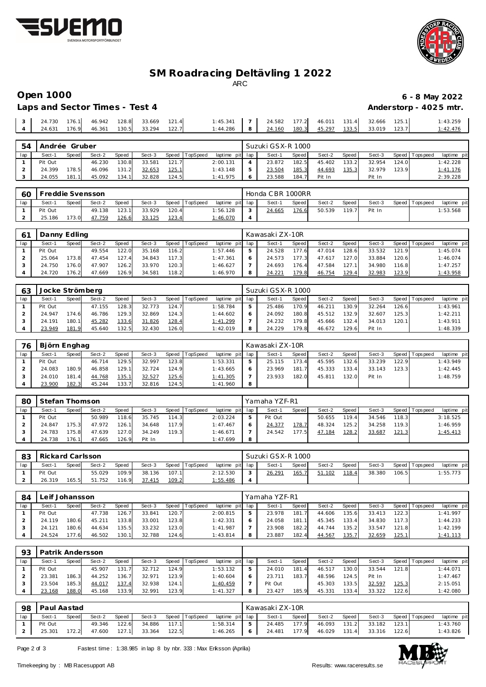



# **SM Roadracing Deltävling 1 2022** ARC

**Open 1000 6 - 8 May 2022** Anderstorp - 4025 mtr.

| Laps and Sector Times - Test 4 |  |  |
|--------------------------------|--|--|
|                                |  |  |

| $\sim$ | .730<br>24. | 176.1 | 46.942 | 128.8 | 33.669 | 121.4 | 1:45.341 |          | 24.582 | 177.2 | 46.011 | 131.4 | 32.666 | 125.1 | 1:43.259 |
|--------|-------------|-------|--------|-------|--------|-------|----------|----------|--------|-------|--------|-------|--------|-------|----------|
|        | 24.631      | 176.9 | 46.361 | 130.5 | 33.294 | 122.7 | 1:44.286 | $\Omega$ | 24.160 | 180.3 | 45.297 | 133.5 | 33.019 | 123.7 | 1:42.476 |
|        |             |       |        |       |        |       |          |          |        |       |        |       |        |       |          |

| .54 | Andrée Gruber |       |        |       |        |       |          |                 | Suzuki GSX-R 1000 |       |        |       |        |       |                 |             |
|-----|---------------|-------|--------|-------|--------|-------|----------|-----------------|-------------------|-------|--------|-------|--------|-------|-----------------|-------------|
| lap | Sect-′        | Speed | Sect-2 | Speed | Sect-3 | Speed | TopSpeed | laptime pit lap | Sect-1            | Speed | Sect-2 | Speed | Sect-3 |       | Speed Tops peed | laptime pit |
|     | Pit Out       |       | 46.230 | 130.8 | 33.581 | 121.7 |          | 2:00.131        | 23.872            | 182.5 | 45.402 | 133.2 | 32.954 | 124.0 |                 | 1:42.228    |
|     | 24.399        | 178.5 | 46.096 | 131.2 | 32.653 | 125.1 |          | 1:43.148        | 23.504            | 185.3 | 44.693 | 135.3 | 32.979 | 123.9 |                 | 1:41.176    |
|     | 24.055        | 181.1 | 45.092 | 134.1 | 32.828 | 124.5 |          | 1:41.975        | 23.588            | 184.  | Pit In |       | Pit In |       |                 | 2:39.228    |

| 60  | Freddie Svensson |       |        |       |        |       |                |                 | Honda CBR 1000RR |       |        |       |        |                 |             |
|-----|------------------|-------|--------|-------|--------|-------|----------------|-----------------|------------------|-------|--------|-------|--------|-----------------|-------------|
| lap | Sect-            | Speed | Sect-2 | Speed | Sect-3 |       | Speed TopSpeed | laptime pit lap | Sect-1           | Speed | Sect-2 | Speed | Sect-3 | Speed Tops peed | laptime pit |
|     | Pit Out          |       | 49.138 | 123.1 | 33.929 | 120.4 |                | : 56.128        | 24.665           | 176.6 | 50.539 | 119.7 | Pit In |                 | 1:53.568    |
|     | 25.186           | 173.0 | 47.759 | 126.6 | 33.125 | 123.4 |                | I: 46.070       |                  |       |        |       |        |                 |             |

|     | Danny Edling |       |        |       |        |       |          |                 |   | Kawasaki ZX-10R |       |        |       |        |       |                 |             |
|-----|--------------|-------|--------|-------|--------|-------|----------|-----------------|---|-----------------|-------|--------|-------|--------|-------|-----------------|-------------|
| lap | Sect-′       | Speed | Sect-2 | Speed | Sect-3 | Speed | TopSpeed | laptime pit lap |   | Sect-1          | Speed | Sect-2 | Speed | Sect-3 |       | Speed Tops peed | laptime pit |
|     | Pit Out      |       | 49.554 | 122.0 | 35.168 | 116.2 |          | 1:57.446        | 5 | 24.528          | 177.6 | 47.014 | 128.6 | 33.532 | 121.9 |                 | 1:45.074    |
|     | 25.064       | 173.8 | 47.454 | 127.4 | 34.843 | 117.3 |          | 1:47.361        |   | 24.573          | 177.3 | 47.617 | 127.0 | 33.884 | 120.6 |                 | 1:46.074    |
|     | 24.750       | 176.0 | 47.907 | 126.2 | 33.970 | 120.3 |          | 1:46.627        |   | 24.693          | 176.4 | 47.584 | 127.1 | 34.980 | 116.8 |                 | 1:47.257    |
|     | 24.720       | 176.2 | 47.669 | 126.9 | 34.581 | 118.2 |          | 1:46.970        | 8 | 24.221          | 179.8 | 46.754 | 129.4 | 32.983 | 123.9 |                 | 1:43.958    |

| 63  | Jocke Strömberg |       |        |        |        |       |                |                 |   | Suzuki GSX-R 1000 |       |        |        |        |       |                 |             |
|-----|-----------------|-------|--------|--------|--------|-------|----------------|-----------------|---|-------------------|-------|--------|--------|--------|-------|-----------------|-------------|
| lap | Sect-1          | Speed | Sect-2 | Speed  | Sect-3 |       | Speed TopSpeed | laptime pit lap |   | Sect-1            | Speed | Sect-2 | Speed  | Sect-3 |       | Speed Tops peed | laptime pit |
|     | Pit Out         |       | 47.155 | 128.3  | 32.773 | 124.7 |                | 1:58.784        | 5 | 25.486            | 170.9 | 46.211 | 130.9  | 32.264 | 126.6 |                 | 1:43.961    |
|     | 24.947          | 174.6 | 46.786 | 129.3  | 32.869 | 124.3 |                | 1:44.602        |   | 24.092            | 180.8 | 45.512 | 132.9  | 32.607 | 125.3 |                 | 1:42.211    |
|     | 24.191          | 180.1 | 45.282 | 133.6  | 31.826 | 128.4 |                | 1:41.299        |   | 24.232            | 179.8 | 45.666 | 132.41 | 34.013 | 120.1 |                 | 1:43.911    |
|     | 23.949          | 181.9 | 45.640 | 132.51 | 32.430 | 126.0 |                | 1:42.019        | 8 | 24.229            | 179.8 | 46.672 | 129.6  | Pit In |       |                 | 1:48.339    |

| 76  | i Björn Enghag |       |        |       |        |       |          |                 |   | Kawasaki ZX-10R |       |        |         |        |       |                 |             |
|-----|----------------|-------|--------|-------|--------|-------|----------|-----------------|---|-----------------|-------|--------|---------|--------|-------|-----------------|-------------|
| lap | Sect-′         | Speed | Sect-2 | Speed | Sect-3 | Speed | TopSpeed | laptime pit lap |   | Sect-1          | Speed | Sect-2 | Speed I | Sect-3 |       | Speed Tops peed | laptime pit |
|     | Pit Out        |       | 46.714 | 129.5 | 32.997 | 123.8 |          | 1:53.331        |   | 25.115          | 173.4 | 45.595 | 132.6   | 33.239 | 122.9 |                 | 1:43.949    |
|     | 24.083         | 180.9 | 46.858 | 129.1 | 32.724 | 124.9 |          | 1:43.665        |   | 23.969          | 181.7 | 45.333 | 133.4   | 33.143 | 123.3 |                 | 1:42.445    |
|     | 24.010         | 181.4 | 44.768 | 135.1 | 32.527 | 125.6 |          | 1:41.305        |   | 23.933          | 182.0 | 45.811 | 132.0   | Pit In |       |                 | 1:48.759    |
|     | 23.900         | 182.3 | 45.244 | 133.7 | 32.816 | 124.5 |          | 1:41.960        | 8 |                 |       |        |         |        |       |                 |             |

| 80  | Stefan Thomson |        |        |       |        |       |          |             |     | Yamaha YZF-R1 |        |        |       |        |       |                 |             |
|-----|----------------|--------|--------|-------|--------|-------|----------|-------------|-----|---------------|--------|--------|-------|--------|-------|-----------------|-------------|
| lap | Sect-1         | Speed  | Sect-2 | Speed | Sect-3 | Speed | TopSpeed | laptime pit | lap | Sect-1        | Speed  | Sect-2 | Speed | Sect-3 |       | Speed Tops peed | laptime pit |
|     | Pit Out        |        | 50.989 | 118.6 | 35.745 | 114.3 |          | 2:03.224    |     | Pit Out       |        | 50.655 | 119.4 | 34.546 | 118.3 |                 | 3:18.525    |
|     | 24.847         | 175.3  | 47.972 | 126.1 | 34.648 | 117.9 |          | 1:47.467    |     | 24.377        | 178.7  | 48.324 | 125.2 | 34.258 | 119.3 |                 | 1:46.959    |
|     | 24.783         | 175.8  | 47.639 | 127.0 | 34.249 | 119.3 |          | 1:46.671    |     | 24.542        | 177.51 | 47.184 | 128.2 | 33.687 | 121.3 |                 | 1:45.413    |
|     | 24.738         | 176.11 | 47.665 | 126.9 | Pit In |       |          | 1:47.699    | 8   |               |        |        |       |        |       |                 |             |

| -83 | Rickard Carlsson |       |        |       |        |       |          |                 | Suzuki GSX-R 1000 |       |        |       |        |       |                   |             |
|-----|------------------|-------|--------|-------|--------|-------|----------|-----------------|-------------------|-------|--------|-------|--------|-------|-------------------|-------------|
| 1a  | Sect-1           | Speed | Sect-2 | Speed | Sect-3 | Speed | TopSpeed | laptime pit lap | Sect-1            | Speed | Sect-2 | Speed | Sect-3 |       | Speed   Tops peed | laptime pit |
|     | Pit Out          |       | 55.029 | 109.9 | 38.136 | 107.1 |          | 2:12.530        | 26.291            | 165.7 | 51.102 | 118.4 | 38.380 | 106.5 |                   | 1:55.773    |
|     | 26.319           | 165.5 | 51.752 | 116.9 | 37.415 | 109.2 |          | 1:55.486        |                   |       |        |       |        |       |                   |             |

| 84  | Leif Johansson |       |        |       |        |       |                |                 |   | Yamaha YZF-R1 |       |        |               |        |               |                 |             |
|-----|----------------|-------|--------|-------|--------|-------|----------------|-----------------|---|---------------|-------|--------|---------------|--------|---------------|-----------------|-------------|
| lap | Sect-1         | Speed | Sect-2 | Speed | Sect-3 |       | Speed TopSpeed | laptime pit lap |   | Sect-1        | Speed | Sect-2 | Speed         | Sect-3 |               | Speed Tops peed | laptime pit |
|     | Pit Out        |       | 47.738 | 126.7 | 33.841 | 120.7 |                | 2:00.815        |   | 23.978        | 181.7 | 44.606 | 135.6         | 33.413 | 122.3         |                 | 1:41.997    |
|     | 24.119         | 180.6 | 45.211 | 133.8 | 33.001 | 123.8 |                | 1:42.331        |   | 24.058        | 181.1 | 45.345 | 133.4         | 34.830 | 117.3         |                 | 1:44.233    |
|     | 24.121         | 180.6 | 44.634 | 135.5 | 33.232 | 123.0 |                | 1:41.987        |   | 23.908        | 182.2 | 44.744 | 135.2         | 33.547 | 121.8         |                 | 1:42.199    |
|     | 24.524         | 177.6 | 46.502 | 130.1 | 32.788 | 124.6 |                | 1:43.814        | 8 | 23.887        | 182.4 | 44.567 | <u> 135.7</u> | 32.659 | <u> 125.1</u> |                 | 1:41.113    |

| 93  | Patrik Andersson |              |        |       |        |       |          |             |     |         |       |        |       |        |              |            |             |
|-----|------------------|--------------|--------|-------|--------|-------|----------|-------------|-----|---------|-------|--------|-------|--------|--------------|------------|-------------|
| lap | Sect-1           | Speed        | Sect-2 | Speed | Sect-3 | Speed | TopSpeed | laptime pit | lap | Sect-   | Speed | Sect-2 | Speed | Sect-3 | Speed $\tau$ | Tops pee d | laptime pit |
|     | Pit Out          |              | 45.907 | 131.7 | 32.712 | 124.9 |          | 1:53.132    |     | 24.010  | 181.4 | 46.517 | 130.0 | 33.544 | 121.8        |            | 1:44.071    |
|     | 23.381           | 186.3        | 44.252 | 136.7 | 32.971 | 123.9 |          | 1:40.604    |     | 23.71'  | 183.7 | 48.596 | 124.5 | Pit In |              |            | 1:47.467    |
|     | 23.504           | 185.3        | 44.017 | 137.4 | 32.938 | 124.1 |          | 1:40.459    |     | Pit Out |       | 45.303 | 133.5 | 32.597 | 125.3        |            | 2:15.051    |
|     | 23.168           | <u>188.0</u> | 45.168 | 133.9 | 32.991 | 123.9 |          | 1:41.327    |     | 23.427  | 185.9 | 45.331 | 133.4 | 33.322 | 122.6        |            | 1:42.080    |

| 98  | Paul Aastad |       |              |       |        |       |                       |                 |     | Kawasaki ZX-10R |       |              |       |              |       |                   |             |
|-----|-------------|-------|--------------|-------|--------|-------|-----------------------|-----------------|-----|-----------------|-------|--------------|-------|--------------|-------|-------------------|-------------|
| lap | Sect-1      | Speed | Sect-2       | Speed |        |       | Sect-3 Speed TopSpeed | laptime pit lap |     | Sect-1          | Speed | Sect-2       | Speed | Sect-3       |       | Speed   Tops peed | laptime pit |
|     | Pit Out     |       | 49.346       | 122.6 | 34.886 | 117.1 |                       | 1:58.314        | - 5 | 24.485          | 177.9 | 46.093 131.2 |       | 33.182       | 123.1 |                   | 1:43.760    |
|     | 25.301      | 172.2 | 47.600 127.1 |       | 33.364 | 122.5 |                       | $1:46.265$ 6    |     | 24.481          | 177.9 | 46.029       | 131.4 | 33.316 122.6 |       |                   | 1:43.826    |

Page 2 of 3 Fastest time: 1:38.985 in lap 8 by nbr. 333 : Max Eriksson (Aprilia)